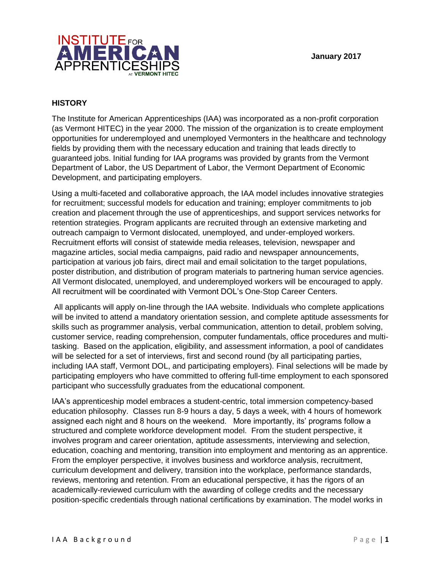

## **HISTORY**

The Institute for American Apprenticeships (IAA) was incorporated as a non-profit corporation (as Vermont HITEC) in the year 2000. The mission of the organization is to create employment opportunities for underemployed and unemployed Vermonters in the healthcare and technology fields by providing them with the necessary education and training that leads directly to guaranteed jobs. Initial funding for IAA programs was provided by grants from the Vermont Department of Labor, the US Department of Labor, the Vermont Department of Economic Development, and participating employers.

Using a multi-faceted and collaborative approach, the IAA model includes innovative strategies for recruitment; successful models for education and training; employer commitments to job creation and placement through the use of apprenticeships, and support services networks for retention strategies. Program applicants are recruited through an extensive marketing and outreach campaign to Vermont dislocated, unemployed, and under-employed workers. Recruitment efforts will consist of statewide media releases, television, newspaper and magazine articles, social media campaigns, paid radio and newspaper announcements, participation at various job fairs, direct mail and email solicitation to the target populations, poster distribution, and distribution of program materials to partnering human service agencies. All Vermont dislocated, unemployed, and underemployed workers will be encouraged to apply. All recruitment will be coordinated with Vermont DOL's One-Stop Career Centers.

All applicants will apply on-line through the IAA website. Individuals who complete applications will be invited to attend a mandatory orientation session, and complete aptitude assessments for skills such as programmer analysis, verbal communication, attention to detail, problem solving, customer service, reading comprehension, computer fundamentals, office procedures and multitasking. Based on the application, eligibility, and assessment information, a pool of candidates will be selected for a set of interviews, first and second round (by all participating parties, including IAA staff, Vermont DOL, and participating employers). Final selections will be made by participating employers who have committed to offering full-time employment to each sponsored participant who successfully graduates from the educational component.

IAA's apprenticeship model embraces a student-centric, total immersion competency-based education philosophy. Classes run 8-9 hours a day, 5 days a week, with 4 hours of homework assigned each night and 8 hours on the weekend. More importantly, its' programs follow a structured and complete workforce development model. From the student perspective, it involves program and career orientation, aptitude assessments, interviewing and selection, education, coaching and mentoring, transition into employment and mentoring as an apprentice. From the employer perspective, it involves business and workforce analysis, recruitment, curriculum development and delivery, transition into the workplace, performance standards, reviews, mentoring and retention. From an educational perspective, it has the rigors of an academically-reviewed curriculum with the awarding of college credits and the necessary position-specific credentials through national certifications by examination. The model works in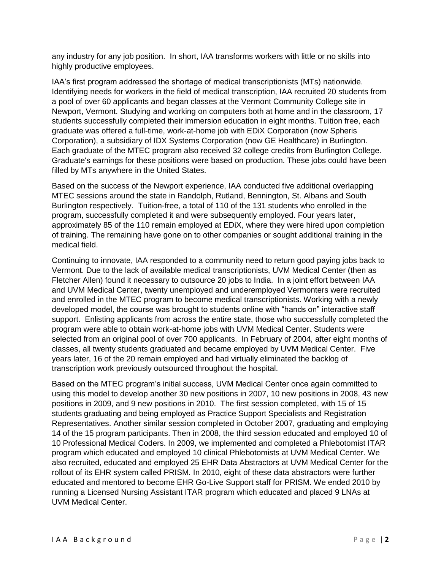any industry for any job position. In short, IAA transforms workers with little or no skills into highly productive employees.

IAA's first program addressed the shortage of medical transcriptionists (MTs) nationwide. Identifying needs for workers in the field of medical transcription, IAA recruited 20 students from a pool of over 60 applicants and began classes at the Vermont Community College site in Newport, Vermont. Studying and working on computers both at home and in the classroom, 17 students successfully completed their immersion education in eight months. Tuition free, each graduate was offered a full-time, work-at-home job with EDiX Corporation (now Spheris Corporation), a subsidiary of IDX Systems Corporation (now GE Healthcare) in Burlington. Each graduate of the MTEC program also received 32 college credits from Burlington College. Graduate's earnings for these positions were based on production. These jobs could have been filled by MTs anywhere in the United States.

Based on the success of the Newport experience, IAA conducted five additional overlapping MTEC sessions around the state in Randolph, Rutland, Bennington, St. Albans and South Burlington respectively. Tuition-free, a total of 110 of the 131 students who enrolled in the program, successfully completed it and were subsequently employed. Four years later, approximately 85 of the 110 remain employed at EDiX, where they were hired upon completion of training. The remaining have gone on to other companies or sought additional training in the medical field.

Continuing to innovate, IAA responded to a community need to return good paying jobs back to Vermont. Due to the lack of available medical transcriptionists, UVM Medical Center (then as Fletcher Allen) found it necessary to outsource 20 jobs to India. In a joint effort between IAA and UVM Medical Center, twenty unemployed and underemployed Vermonters were recruited and enrolled in the MTEC program to become medical transcriptionists. Working with a newly developed model, the course was brought to students online with "hands on" interactive staff support. Enlisting applicants from across the entire state, those who successfully completed the program were able to obtain work-at-home jobs with UVM Medical Center. Students were selected from an original pool of over 700 applicants. In February of 2004, after eight months of classes, all twenty students graduated and became employed by UVM Medical Center. Five years later, 16 of the 20 remain employed and had virtually eliminated the backlog of transcription work previously outsourced throughout the hospital.

Based on the MTEC program's initial success, UVM Medical Center once again committed to using this model to develop another 30 new positions in 2007, 10 new positions in 2008, 43 new positions in 2009, and 9 new positions in 2010. The first session completed, with 15 of 15 students graduating and being employed as Practice Support Specialists and Registration Representatives. Another similar session completed in October 2007, graduating and employing 14 of the 15 program participants. Then in 2008, the third session educated and employed 10 of 10 Professional Medical Coders. In 2009, we implemented and completed a Phlebotomist ITAR program which educated and employed 10 clinical Phlebotomists at UVM Medical Center. We also recruited, educated and employed 25 EHR Data Abstractors at UVM Medical Center for the rollout of its EHR system called PRISM. In 2010, eight of these data abstractors were further educated and mentored to become EHR Go-Live Support staff for PRISM. We ended 2010 by running a Licensed Nursing Assistant ITAR program which educated and placed 9 LNAs at UVM Medical Center.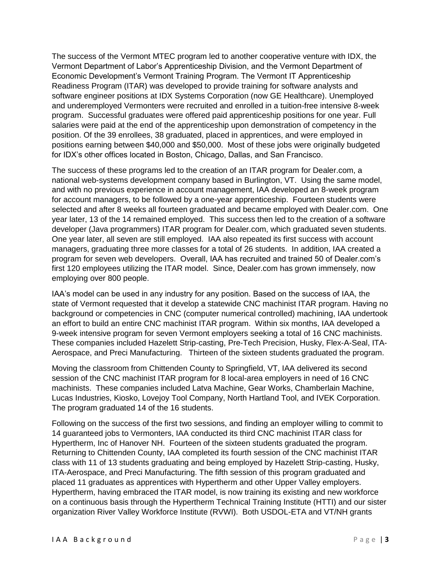The success of the Vermont MTEC program led to another cooperative venture with IDX, the Vermont Department of Labor's Apprenticeship Division, and the Vermont Department of Economic Development's Vermont Training Program. The Vermont IT Apprenticeship Readiness Program (ITAR) was developed to provide training for software analysts and software engineer positions at IDX Systems Corporation (now GE Healthcare). Unemployed and underemployed Vermonters were recruited and enrolled in a tuition-free intensive 8-week program. Successful graduates were offered paid apprenticeship positions for one year. Full salaries were paid at the end of the apprenticeship upon demonstration of competency in the position. Of the 39 enrollees, 38 graduated, placed in apprentices, and were employed in positions earning between \$40,000 and \$50,000. Most of these jobs were originally budgeted for IDX's other offices located in Boston, Chicago, Dallas, and San Francisco.

The success of these programs led to the creation of an ITAR program for Dealer.com, a national web-systems development company based in Burlington, VT. Using the same model, and with no previous experience in account management, IAA developed an 8-week program for account managers, to be followed by a one-year apprenticeship. Fourteen students were selected and after 8 weeks all fourteen graduated and became employed with Dealer.com. One year later, 13 of the 14 remained employed. This success then led to the creation of a software developer (Java programmers) ITAR program for Dealer.com, which graduated seven students. One year later, all seven are still employed. IAA also repeated its first success with account managers, graduating three more classes for a total of 26 students. In addition, IAA created a program for seven web developers. Overall, IAA has recruited and trained 50 of Dealer.com's first 120 employees utilizing the ITAR model. Since, Dealer.com has grown immensely, now employing over 800 people.

IAA's model can be used in any industry for any position. Based on the success of IAA, the state of Vermont requested that it develop a statewide CNC machinist ITAR program. Having no background or competencies in CNC (computer numerical controlled) machining, IAA undertook an effort to build an entire CNC machinist ITAR program. Within six months, IAA developed a 9-week intensive program for seven Vermont employers seeking a total of 16 CNC machinists. These companies included Hazelett Strip-casting, Pre-Tech Precision, Husky, Flex-A-Seal, ITA-Aerospace, and Preci Manufacturing. Thirteen of the sixteen students graduated the program.

Moving the classroom from Chittenden County to Springfield, VT, IAA delivered its second session of the CNC machinist ITAR program for 8 local-area employers in need of 16 CNC machinists. These companies included Latva Machine, Gear Works, Chamberlain Machine, Lucas Industries, Kiosko, Lovejoy Tool Company, North Hartland Tool, and IVEK Corporation. The program graduated 14 of the 16 students.

Following on the success of the first two sessions, and finding an employer willing to commit to 14 guaranteed jobs to Vermonters, IAA conducted its third CNC machinist ITAR class for Hypertherm, Inc of Hanover NH. Fourteen of the sixteen students graduated the program. Returning to Chittenden County, IAA completed its fourth session of the CNC machinist ITAR class with 11 of 13 students graduating and being employed by Hazelett Strip-casting, Husky, ITA-Aerospace, and Preci Manufacturing. The fifth session of this program graduated and placed 11 graduates as apprentices with Hypertherm and other Upper Valley employers. Hypertherm, having embraced the ITAR model, is now training its existing and new workforce on a continuous basis through the Hypertherm Technical Training Institute (HTTI) and our sister organization River Valley Workforce Institute (RVWI). Both USDOL-ETA and VT/NH grants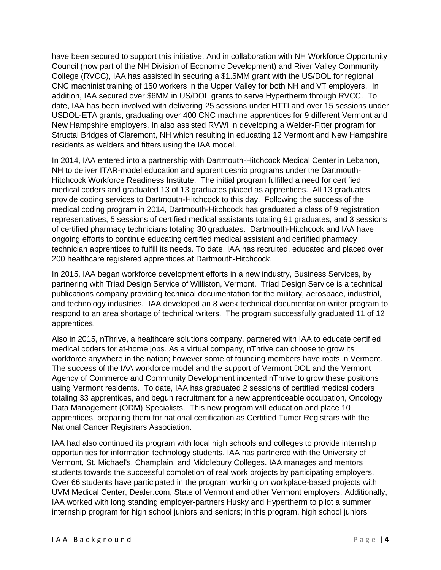have been secured to support this initiative. And in collaboration with NH Workforce Opportunity Council (now part of the NH Division of Economic Development) and River Valley Community College (RVCC), IAA has assisted in securing a \$1.5MM grant with the US/DOL for regional CNC machinist training of 150 workers in the Upper Valley for both NH and VT employers. In addition, IAA secured over \$6MM in US/DOL grants to serve Hypertherm through RVCC. To date, IAA has been involved with delivering 25 sessions under HTTI and over 15 sessions under USDOL-ETA grants, graduating over 400 CNC machine apprentices for 9 different Vermont and New Hampshire employers. In also assisted RVWI in developing a Welder-Fitter program for Structal Bridges of Claremont, NH which resulting in educating 12 Vermont and New Hampshire residents as welders and fitters using the IAA model.

In 2014, IAA entered into a partnership with Dartmouth-Hitchcock Medical Center in Lebanon, NH to deliver ITAR-model education and apprenticeship programs under the Dartmouth-Hitchcock Workforce Readiness Institute. The initial program fulfilled a need for certified medical coders and graduated 13 of 13 graduates placed as apprentices. All 13 graduates provide coding services to Dartmouth-Hitchcock to this day. Following the success of the medical coding program in 2014, Dartmouth-Hitchcock has graduated a class of 9 registration representatives, 5 sessions of certified medical assistants totaling 91 graduates, and 3 sessions of certified pharmacy technicians totaling 30 graduates. Dartmouth-Hitchcock and IAA have ongoing efforts to continue educating certified medical assistant and certified pharmacy technician apprentices to fulfill its needs. To date, IAA has recruited, educated and placed over 200 healthcare registered apprentices at Dartmouth-Hitchcock.

In 2015, IAA began workforce development efforts in a new industry, Business Services, by partnering with Triad Design Service of Williston, Vermont. Triad Design Service is a technical publications company providing technical documentation for the military, aerospace, industrial, and technology industries. IAA developed an 8 week technical documentation writer program to respond to an area shortage of technical writers. The program successfully graduated 11 of 12 apprentices.

Also in 2015, nThrive, a healthcare solutions company, partnered with IAA to educate certified medical coders for at-home jobs. As a virtual company, nThrive can choose to grow its workforce anywhere in the nation; however some of founding members have roots in Vermont. The success of the IAA workforce model and the support of Vermont DOL and the Vermont Agency of Commerce and Community Development incented nThrive to grow these positions using Vermont residents. To date, IAA has graduated 2 sessions of certified medical coders totaling 33 apprentices, and begun recruitment for a new apprenticeable occupation, Oncology Data Management (ODM) Specialists. This new program will education and place 10 apprentices, preparing them for national certification as Certified Tumor Registrars with the National Cancer Registrars Association.

IAA had also continued its program with local high schools and colleges to provide internship opportunities for information technology students. IAA has partnered with the University of Vermont, St. Michael's, Champlain, and Middlebury Colleges. IAA manages and mentors students towards the successful completion of real work projects by participating employers. Over 66 students have participated in the program working on workplace-based projects with UVM Medical Center, Dealer.com, State of Vermont and other Vermont employers. Additionally, IAA worked with long standing employer-partners Husky and Hypertherm to pilot a summer internship program for high school juniors and seniors; in this program, high school juniors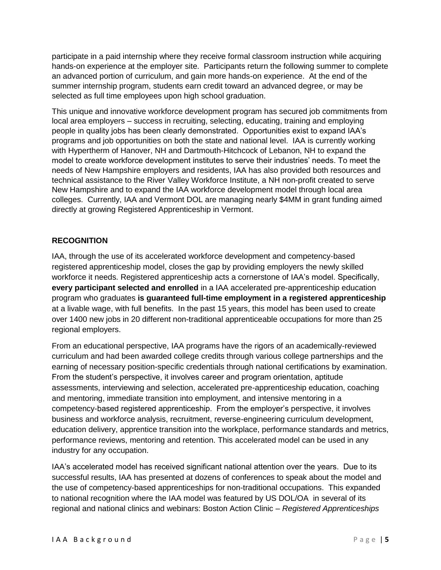participate in a paid internship where they receive formal classroom instruction while acquiring hands-on experience at the employer site. Participants return the following summer to complete an advanced portion of curriculum, and gain more hands-on experience. At the end of the summer internship program, students earn credit toward an advanced degree, or may be selected as full time employees upon high school graduation.

This unique and innovative workforce development program has secured job commitments from local area employers – success in recruiting, selecting, educating, training and employing people in quality jobs has been clearly demonstrated. Opportunities exist to expand IAA's programs and job opportunities on both the state and national level. IAA is currently working with Hypertherm of Hanover, NH and Dartmouth-Hitchcock of Lebanon, NH to expand the model to create workforce development institutes to serve their industries' needs. To meet the needs of New Hampshire employers and residents, IAA has also provided both resources and technical assistance to the River Valley Workforce Institute, a NH non-profit created to serve New Hampshire and to expand the IAA workforce development model through local area colleges. Currently, IAA and Vermont DOL are managing nearly \$4MM in grant funding aimed directly at growing Registered Apprenticeship in Vermont.

## **RECOGNITION**

IAA, through the use of its accelerated workforce development and competency-based registered apprenticeship model, closes the gap by providing employers the newly skilled workforce it needs. Registered apprenticeship acts a cornerstone of IAA's model. Specifically, **every participant selected and enrolled** in a IAA accelerated pre-apprenticeship education program who graduates **is guaranteed full-time employment in a registered apprenticeship** at a livable wage, with full benefits. In the past 15 years, this model has been used to create over 1400 new jobs in 20 different non-traditional apprenticeable occupations for more than 25 regional employers.

From an educational perspective, IAA programs have the rigors of an academically-reviewed curriculum and had been awarded college credits through various college partnerships and the earning of necessary position-specific credentials through national certifications by examination. From the student's perspective, it involves career and program orientation, aptitude assessments, interviewing and selection, accelerated pre-apprenticeship education, coaching and mentoring, immediate transition into employment, and intensive mentoring in a competency-based registered apprenticeship. From the employer's perspective, it involves business and workforce analysis, recruitment, reverse-engineering curriculum development, education delivery, apprentice transition into the workplace, performance standards and metrics, performance reviews, mentoring and retention. This accelerated model can be used in any industry for any occupation.

IAA's accelerated model has received significant national attention over the years. Due to its successful results, IAA has presented at dozens of conferences to speak about the model and the use of competency-based apprenticeships for non-traditional occupations. This expanded to national recognition where the IAA model was featured by US DOL/OA in several of its regional and national clinics and webinars: Boston Action Clinic – *Registered Apprenticeships*